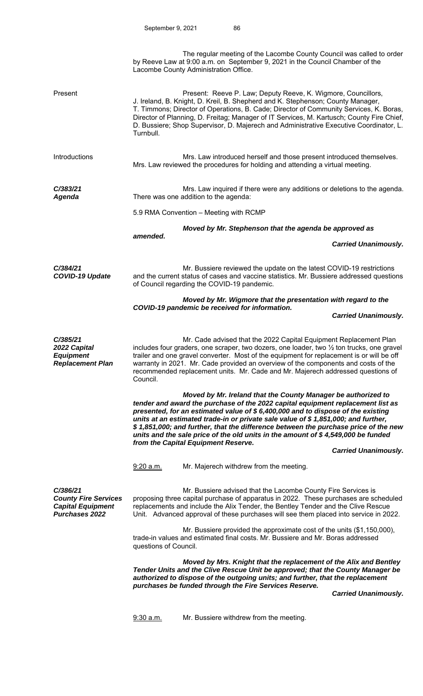|                                                                                              | Lacombe County Administration Office.                                                                                                                 | The regular meeting of the Lacombe County Council was called to order<br>by Reeve Law at 9:00 a.m. on September 9, 2021 in the Council Chamber of the                                                                                                                                                                                                                                                                                                                                                |  |  |
|----------------------------------------------------------------------------------------------|-------------------------------------------------------------------------------------------------------------------------------------------------------|------------------------------------------------------------------------------------------------------------------------------------------------------------------------------------------------------------------------------------------------------------------------------------------------------------------------------------------------------------------------------------------------------------------------------------------------------------------------------------------------------|--|--|
| Present                                                                                      | Turnbull.                                                                                                                                             | Present: Reeve P. Law; Deputy Reeve, K. Wigmore, Councillors,<br>J. Ireland, B. Knight, D. Kreil, B. Shepherd and K. Stephenson; County Manager,<br>T. Timmons; Director of Operations, B. Cade; Director of Community Services, K. Boras,<br>Director of Planning, D. Freitag; Manager of IT Services, M. Kartusch; County Fire Chief,<br>D. Bussiere; Shop Supervisor, D. Majerech and Administrative Executive Coordinator, L.                                                                    |  |  |
| Introductions                                                                                | Mrs. Law introduced herself and those present introduced themselves.<br>Mrs. Law reviewed the procedures for holding and attending a virtual meeting. |                                                                                                                                                                                                                                                                                                                                                                                                                                                                                                      |  |  |
| C/383/21<br>Agenda                                                                           |                                                                                                                                                       | Mrs. Law inquired if there were any additions or deletions to the agenda.<br>There was one addition to the agenda:                                                                                                                                                                                                                                                                                                                                                                                   |  |  |
|                                                                                              | 5.9 RMA Convention - Meeting with RCMP                                                                                                                |                                                                                                                                                                                                                                                                                                                                                                                                                                                                                                      |  |  |
|                                                                                              | Moved by Mr. Stephenson that the agenda be approved as                                                                                                |                                                                                                                                                                                                                                                                                                                                                                                                                                                                                                      |  |  |
|                                                                                              | amended.                                                                                                                                              | <b>Carried Unanimously.</b>                                                                                                                                                                                                                                                                                                                                                                                                                                                                          |  |  |
| C/384/21<br><b>COVID-19 Update</b>                                                           | of Council regarding the COVID-19 pandemic.                                                                                                           | Mr. Bussiere reviewed the update on the latest COVID-19 restrictions<br>and the current status of cases and vaccine statistics. Mr. Bussiere addressed questions                                                                                                                                                                                                                                                                                                                                     |  |  |
|                                                                                              |                                                                                                                                                       | Moved by Mr. Wigmore that the presentation with regard to the                                                                                                                                                                                                                                                                                                                                                                                                                                        |  |  |
|                                                                                              |                                                                                                                                                       | COVID-19 pandemic be received for information.<br><b>Carried Unanimously.</b>                                                                                                                                                                                                                                                                                                                                                                                                                        |  |  |
|                                                                                              |                                                                                                                                                       |                                                                                                                                                                                                                                                                                                                                                                                                                                                                                                      |  |  |
| C/385/21<br>2022 Capital<br><b>Equipment</b><br><b>Replacement Plan</b>                      | Council.                                                                                                                                              | Mr. Cade advised that the 2022 Capital Equipment Replacement Plan<br>includes four graders, one scraper, two dozers, one loader, two 1/2 ton trucks, one gravel<br>trailer and one gravel converter. Most of the equipment for replacement is or will be off<br>warranty in 2021. Mr. Cade provided an overview of the components and costs of the<br>recommended replacement units. Mr. Cade and Mr. Majerech addressed questions of                                                                |  |  |
|                                                                                              | from the Capital Equipment Reserve.                                                                                                                   | Moved by Mr. Ireland that the County Manager be authorized to<br>tender and award the purchase of the 2022 capital equipment replacement list as<br>presented, for an estimated value of \$6,400,000 and to dispose of the existing<br>units at an estimated trade-in or private sale value of \$1,851,000; and further,<br>\$1,851,000; and further, that the difference between the purchase price of the new<br>units and the sale price of the old units in the amount of $$4,549,000$ be funded |  |  |
|                                                                                              |                                                                                                                                                       | <b>Carried Unanimously.</b>                                                                                                                                                                                                                                                                                                                                                                                                                                                                          |  |  |
|                                                                                              | 9:20 a.m.                                                                                                                                             | Mr. Majerech withdrew from the meeting.                                                                                                                                                                                                                                                                                                                                                                                                                                                              |  |  |
| C/386/21<br><b>County Fire Services</b><br><b>Capital Equipment</b><br><b>Purchases 2022</b> |                                                                                                                                                       | Mr. Bussiere advised that the Lacombe County Fire Services is<br>proposing three capital purchase of apparatus in 2022. These purchases are scheduled<br>replacements and include the Alix Tender, the Bentley Tender and the Clive Rescue<br>Unit. Advanced approval of these purchases will see them placed into service in 2022.                                                                                                                                                                  |  |  |
|                                                                                              | questions of Council.                                                                                                                                 | Mr. Bussiere provided the approximate cost of the units (\$1,150,000),<br>trade-in values and estimated final costs. Mr. Bussiere and Mr. Boras addressed                                                                                                                                                                                                                                                                                                                                            |  |  |
|                                                                                              |                                                                                                                                                       | Moved by Mrs. Knight that the replacement of the Alix and Bentley<br>Tender Units and the Clive Rescue Unit be approved; that the County Manager be<br>authorized to dispose of the outgoing units; and further, that the replacement                                                                                                                                                                                                                                                                |  |  |
|                                                                                              |                                                                                                                                                       | purchases be funded through the Fire Services Reserve.<br><b>Carried Unanimously.</b>                                                                                                                                                                                                                                                                                                                                                                                                                |  |  |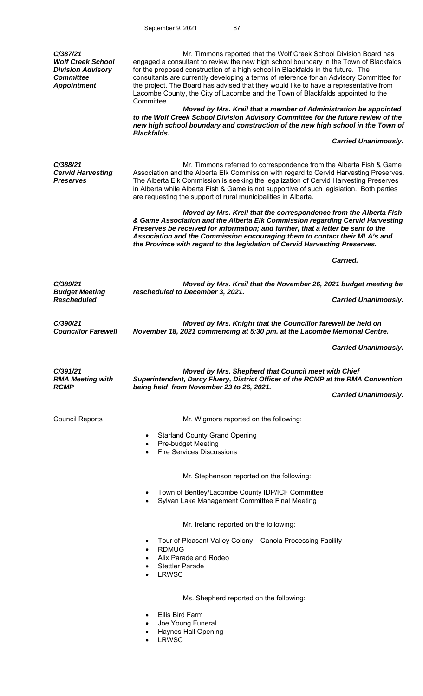| C/387/21<br><b>Wolf Creek School</b><br><b>Division Advisory</b><br><b>Committee</b><br><b>Appointment</b> | Mr. Timmons reported that the Wolf Creek School Division Board has<br>engaged a consultant to review the new high school boundary in the Town of Blackfalds<br>for the proposed construction of a high school in Blackfalds in the future. The<br>consultants are currently developing a terms of reference for an Advisory Committee for<br>the project. The Board has advised that they would like to have a representative from<br>Lacombe County, the City of Lacombe and the Town of Blackfalds appointed to the<br>Committee. |                             |  |  |  |
|------------------------------------------------------------------------------------------------------------|-------------------------------------------------------------------------------------------------------------------------------------------------------------------------------------------------------------------------------------------------------------------------------------------------------------------------------------------------------------------------------------------------------------------------------------------------------------------------------------------------------------------------------------|-----------------------------|--|--|--|
|                                                                                                            | Moved by Mrs. Kreil that a member of Administration be appointed<br>to the Wolf Creek School Division Advisory Committee for the future review of the<br>new high school boundary and construction of the new high school in the Town of<br><b>Blackfalds.</b>                                                                                                                                                                                                                                                                      |                             |  |  |  |
|                                                                                                            |                                                                                                                                                                                                                                                                                                                                                                                                                                                                                                                                     | <b>Carried Unanimously.</b> |  |  |  |
| C/388/21<br><b>Cervid Harvesting</b><br><b>Preserves</b>                                                   | Mr. Timmons referred to correspondence from the Alberta Fish & Game<br>Association and the Alberta Elk Commission with regard to Cervid Harvesting Preserves.<br>The Alberta Elk Commission is seeking the legalization of Cervid Harvesting Preserves<br>in Alberta while Alberta Fish & Game is not supportive of such legislation. Both parties<br>are requesting the support of rural municipalities in Alberta.                                                                                                                |                             |  |  |  |
|                                                                                                            | Moved by Mrs. Kreil that the correspondence from the Alberta Fish<br>& Game Association and the Alberta Elk Commission regarding Cervid Harvesting<br>Preserves be received for information; and further, that a letter be sent to the<br>Association and the Commission encouraging them to contact their MLA's and<br>the Province with regard to the legislation of Cervid Harvesting Preserves.                                                                                                                                 |                             |  |  |  |
|                                                                                                            |                                                                                                                                                                                                                                                                                                                                                                                                                                                                                                                                     | Carried.                    |  |  |  |
| C/389/21                                                                                                   | Moved by Mrs. Kreil that the November 26, 2021 budget meeting be                                                                                                                                                                                                                                                                                                                                                                                                                                                                    |                             |  |  |  |
| <b>Budget Meeting</b><br><b>Rescheduled</b>                                                                | rescheduled to December 3, 2021.                                                                                                                                                                                                                                                                                                                                                                                                                                                                                                    | <b>Carried Unanimously.</b> |  |  |  |
| C/390/21<br><b>Councillor Farewell</b>                                                                     | Moved by Mrs. Knight that the Councillor farewell be held on<br>November 18, 2021 commencing at 5:30 pm. at the Lacombe Memorial Centre.                                                                                                                                                                                                                                                                                                                                                                                            |                             |  |  |  |
|                                                                                                            |                                                                                                                                                                                                                                                                                                                                                                                                                                                                                                                                     | <b>Carried Unanimously.</b> |  |  |  |
| C/391/21<br><b>RMA Meeting with</b><br><b>RCMP</b>                                                         | Moved by Mrs. Shepherd that Council meet with Chief<br>Superintendent, Darcy Fluery, District Officer of the RCMP at the RMA Convention<br>being held from November 23 to 26, 2021.                                                                                                                                                                                                                                                                                                                                                 |                             |  |  |  |
|                                                                                                            |                                                                                                                                                                                                                                                                                                                                                                                                                                                                                                                                     | <b>Carried Unanimously.</b> |  |  |  |
| <b>Council Reports</b>                                                                                     | Mr. Wigmore reported on the following:                                                                                                                                                                                                                                                                                                                                                                                                                                                                                              |                             |  |  |  |
|                                                                                                            | <b>Starland County Grand Opening</b><br>٠<br>Pre-budget Meeting<br><b>Fire Services Discussions</b>                                                                                                                                                                                                                                                                                                                                                                                                                                 |                             |  |  |  |
|                                                                                                            | Mr. Stephenson reported on the following:                                                                                                                                                                                                                                                                                                                                                                                                                                                                                           |                             |  |  |  |
|                                                                                                            | Town of Bentley/Lacombe County IDP/ICF Committee<br>Sylvan Lake Management Committee Final Meeting                                                                                                                                                                                                                                                                                                                                                                                                                                  |                             |  |  |  |
|                                                                                                            | Mr. Ireland reported on the following:                                                                                                                                                                                                                                                                                                                                                                                                                                                                                              |                             |  |  |  |
|                                                                                                            | Tour of Pleasant Valley Colony – Canola Processing Facility<br><b>RDMUG</b><br>$\bullet$                                                                                                                                                                                                                                                                                                                                                                                                                                            |                             |  |  |  |
|                                                                                                            | Alix Parade and Rodeo<br><b>Stettler Parade</b>                                                                                                                                                                                                                                                                                                                                                                                                                                                                                     |                             |  |  |  |
|                                                                                                            | <b>LRWSC</b>                                                                                                                                                                                                                                                                                                                                                                                                                                                                                                                        |                             |  |  |  |
|                                                                                                            | Ms. Shepherd reported on the following:                                                                                                                                                                                                                                                                                                                                                                                                                                                                                             |                             |  |  |  |
|                                                                                                            | Ellis Bird Farm                                                                                                                                                                                                                                                                                                                                                                                                                                                                                                                     |                             |  |  |  |
|                                                                                                            | Joe Young Funeral<br><b>Haynes Hall Opening</b>                                                                                                                                                                                                                                                                                                                                                                                                                                                                                     |                             |  |  |  |

LRWSC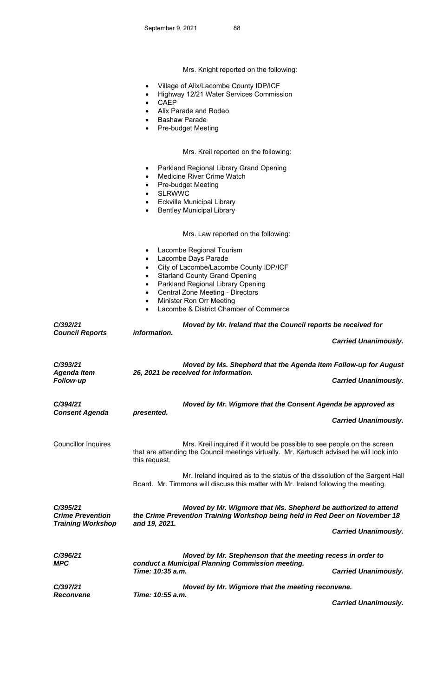Mrs. Knight reported on the following:

- Village of Alix/Lacombe County IDP/ICF
- Highway 12/21 Water Services Commission
- CAEP
- Alix Parade and Rodeo
- **•** Bashaw Parade
- Pre-budget Meeting

# Mrs. Kreil reported on the following:

- Parkland Regional Library Grand Opening
- Medicine River Crime Watch
- Pre-budget Meeting
- SLRWWC
- Eckville Municipal Library
- **•** Bentley Municipal Library

## Mrs. Law reported on the following:

- Lacombe Regional Tourism
- Lacombe Days Parade
- City of Lacombe/Lacombe County IDP/ICF
- Starland County Grand Opening
- Parkland Regional Library Opening
- Central Zone Meeting Directors
- Minister Ron Orr Meeting
- Lacombe & District Chamber of Commerce

| C/392/21<br><b>Council Reports</b>                              | information.                                                                                                                                                                                   | Moved by Mr. Ireland that the Council reports be received for<br><b>Carried Unanimously.</b>                                                                         |  |
|-----------------------------------------------------------------|------------------------------------------------------------------------------------------------------------------------------------------------------------------------------------------------|----------------------------------------------------------------------------------------------------------------------------------------------------------------------|--|
| C/393/21<br><b>Agenda Item</b><br>Follow-up                     |                                                                                                                                                                                                | Moved by Ms. Shepherd that the Agenda Item Follow-up for August<br>26, 2021 be received for information.<br><b>Carried Unanimously.</b>                              |  |
| C/394/21<br><b>Consent Agenda</b>                               | presented.                                                                                                                                                                                     | Moved by Mr. Wigmore that the Consent Agenda be approved as<br><b>Carried Unanimously.</b>                                                                           |  |
| <b>Councillor Inquires</b>                                      | this request.                                                                                                                                                                                  | Mrs. Kreil inquired if it would be possible to see people on the screen<br>that are attending the Council meetings virtually. Mr. Kartusch advised he will look into |  |
|                                                                 |                                                                                                                                                                                                | Mr. Ireland inquired as to the status of the dissolution of the Sargent Hall<br>Board. Mr. Timmons will discuss this matter with Mr. Ireland following the meeting.  |  |
| C/395/21<br><b>Crime Prevention</b><br><b>Training Workshop</b> | Moved by Mr. Wigmore that Ms. Shepherd be authorized to attend<br>the Crime Prevention Training Workshop being held in Red Deer on November 18<br>and 19, 2021.<br><b>Carried Unanimously.</b> |                                                                                                                                                                      |  |
| C/396/21<br><b>MPC</b>                                          | Moved by Mr. Stephenson that the meeting recess in order to<br>conduct a Municipal Planning Commission meeting.<br>Time: 10:35 a.m.<br><b>Carried Unanimously.</b>                             |                                                                                                                                                                      |  |
| C/397/21<br><b>Reconvene</b>                                    | Time: 10:55 a.m.                                                                                                                                                                               | Moved by Mr. Wigmore that the meeting reconvene.<br><b>Carried Unanimously.</b>                                                                                      |  |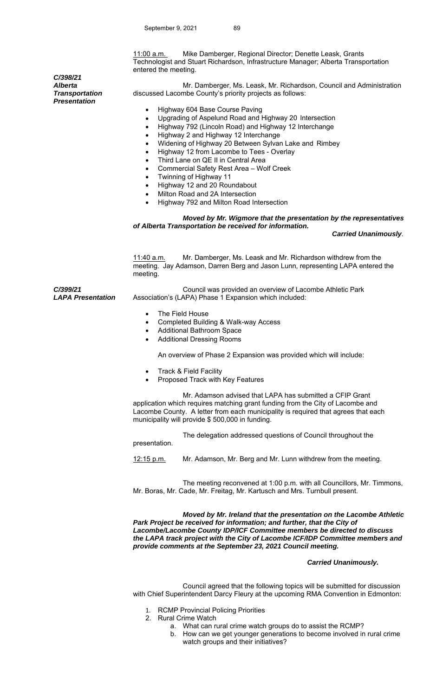11:00 a.m. Mike Damberger, Regional Director; Denette Leask, Grants Technologist and Stuart Richardson, Infrastructure Manager; Alberta Transportation entered the meeting.

 Mr. Damberger, Ms. Leask, Mr. Richardson, Council and Administration discussed Lacombe County's priority projects as follows:

- Highway 604 Base Course Paving
- Upgrading of Aspelund Road and Highway 20 Intersection
- Highway 792 (Lincoln Road) and Highway 12 Interchange
- Highway 2 and Highway 12 Interchange
- Widening of Highway 20 Between Sylvan Lake and Rimbey
- Highway 12 from Lacombe to Tees Overlay
- Third Lane on QE II in Central Area
- Commercial Safety Rest Area Wolf Creek
- Twinning of Highway 11
- Highway 12 and 20 Roundabout
- Milton Road and 2A Intersection
- Highway 792 and Milton Road Intersection

### *Moved by Mr. Wigmore that the presentation by the representatives of Alberta Transportation be received for information.*

#### *Carried Unanimously*.

11:40 a.m. Mr. Damberger, Ms. Leask and Mr. Richardson withdrew from the meeting. Jay Adamson, Darren Berg and Jason Lunn, representing LAPA entered the meeting.

*LAPA Presentation*  Council was provided an overview of Lacombe Athletic Park Association's (LAPA) Phase 1 Expansion which included:

- The Field House
- Completed Building & Walk-way Access
- Additional Bathroom Space
- Additional Dressing Rooms

An overview of Phase 2 Expansion was provided which will include:

- Track & Field Facility
- Proposed Track with Key Features

 Mr. Adamson advised that LAPA has submitted a CFIP Grant application which requires matching grant funding from the City of Lacombe and Lacombe County. A letter from each municipality is required that agrees that each municipality will provide \$ 500,000 in funding.

 The delegation addressed questions of Council throughout the presentation.

12:15 p.m. Mr. Adamson, Mr. Berg and Mr. Lunn withdrew from the meeting.

 The meeting reconvened at 1:00 p.m. with all Councillors, Mr. Timmons, Mr. Boras, Mr. Cade, Mr. Freitag, Mr. Kartusch and Mrs. Turnbull present.

*Moved by Mr. Ireland that the presentation on the Lacombe Athletic Park Project be received for information; and further, that the City of Lacombe/Lacombe County IDP/ICF Committee members be directed to discuss the LAPA track project with the City of Lacombe ICF/IDP Committee members and provide comments at the September 23, 2021 Council meeting.* 

#### *Carried Unanimously.*

Council agreed that the following topics will be submitted for discussion with Chief Superintendent Darcy Fleury at the upcoming RMA Convention in Edmonton:

- 1. RCMP Provincial Policing Priorities
- 2. Rural Crime Watch
	- a. What can rural crime watch groups do to assist the RCMP?
	- b. How can we get younger generations to become involved in rural crime watch groups and their initiatives?

*C/398/21 Alberta Transportation Presentation* 

*C/399/21*